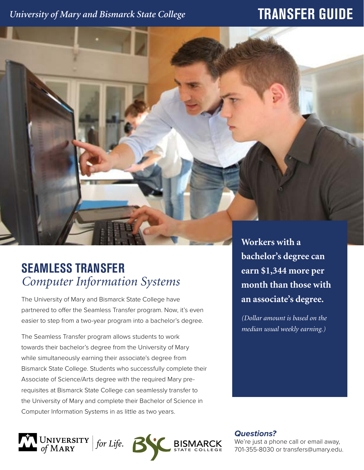### *University of Mary and Bismarck State College*

# **TRANSFER GUIDE**

## **SEAMLESS TRANSFER** *Computer Information Systems*

The University of Mary and Bismarck State College have partnered to offer the Seamless Transfer program. Now, it's even easier to step from a two-year program into a bachelor's degree.

The Seamless Transfer program allows students to work towards their bachelor's degree from the University of Mary while simultaneously earning their associate's degree from Bismarck State College. Students who successfully complete their Associate of Science/Arts degree with the required Mary prerequisites at Bismarck State College can seamlessly transfer to the University of Mary and complete their Bachelor of Science in Computer Information Systems in as little as two years.

**month than those with an associate's degree.**  *(Dollar amount is based on the median usual weekly earning.)*

**Workers with a** 

**bachelor's degree can** 

**earn \$1,344 more per** 



*Questions?*

We're just a phone call or email away, 701-355-8030 or transfers@umary.edu.